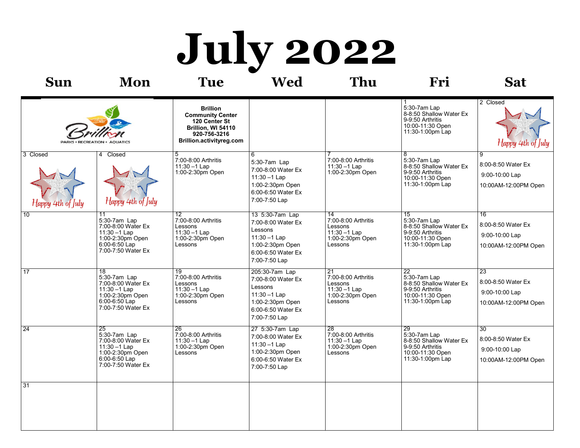# **July 2022**

| Sun                           | Mon                                                                                                                                 | Tue                                                                                                                           | Wed                                                                                                                            | Thu                                                                                      | Fri                                                                                                                    | <b>Sat</b>                                                                      |
|-------------------------------|-------------------------------------------------------------------------------------------------------------------------------------|-------------------------------------------------------------------------------------------------------------------------------|--------------------------------------------------------------------------------------------------------------------------------|------------------------------------------------------------------------------------------|------------------------------------------------------------------------------------------------------------------------|---------------------------------------------------------------------------------|
| <b>PARKS · RECREATION</b>     | <b>AQUATICS</b>                                                                                                                     | <b>Brillion</b><br><b>Community Center</b><br>120 Center St<br>Brillion, WI 54110<br>920-756-3216<br>Brillion.activityreg.com |                                                                                                                                |                                                                                          | 5:30-7am Lap<br>8-8:50 Shallow Water Ex<br>9-9:50 Arthritis<br>10:00-11:30 Open<br>11:30-1:00pm Lap                    | 2 Closed<br>Happy 4th of July                                                   |
| 3 Closed<br>Happy 4th of July | 4 Closed<br>Happy 4th of July                                                                                                       | 5<br>7:00-8:00 Arthritis<br>$11:30 - 1$ Lap<br>1:00-2:30pm Open                                                               | 6<br>5:30-7am Lap<br>7:00-8:00 Water Ex<br>$11:30 - 1$ Lap<br>1:00-2:30pm Open<br>6:00-6:50 Water Ex<br>7:00-7:50 Lap          | 7:00-8:00 Arthritis<br>11:30 - 1 Lap<br>1:00-2:30pm Open                                 | $\overline{8}$<br>5:30-7am Lap<br>8-8:50 Shallow Water Ex<br>9-9:50 Arthritis<br>10:00-11:30 Open<br>11:30-1:00pm Lap  | 9<br>8:00-8:50 Water Ex<br>9:00-10:00 Lap<br>10:00AM-12:00PM Open               |
| 10                            | 11<br>5:30-7am Lap<br>7:00-8:00 Water Ex<br>$11:30 - 1$ Lap<br>1:00-2:30pm Open<br>6:00-6:50 Lap<br>7:00-7:50 Water Ex              | $12 \overline{ }$<br>7:00-8:00 Arthritis<br>Lessons<br>$11:30 - 1$ Lap<br>1:00-2:30pm Open<br>Lessons                         | 13 5:30-7am Lap<br>7:00-8:00 Water Ex<br>Lessons<br>$11:30 - 1$ Lap<br>1:00-2:30pm Open<br>6:00-6:50 Water Ex<br>7:00-7:50 Lap | 14<br>7:00-8:00 Arthritis<br>Lessons<br>$11:30 - 1$ Lap<br>1:00-2:30pm Open<br>Lessons   | 15<br>5:30-7am Lap<br>8-8:50 Shallow Water Ex<br>9-9:50 Arthritis<br>10:00-11:30 Open<br>11:30-1:00pm Lap              | 16<br>8:00-8:50 Water Ex<br>9:00-10:00 Lap<br>10:00AM-12:00PM Open              |
| $\overline{17}$               | $\overline{18}$<br>5:30-7am Lap<br>7:00-8:00 Water Ex<br>$11:30 - 1$ Lap<br>1:00-2:30pm Open<br>6:00-6:50 Lap<br>7:00-7:50 Water Ex | $\overline{19}$<br>7:00-8:00 Arthritis<br>Lessons<br>$11:30 - 1$ Lap<br>1:00-2:30pm Open<br>Lessons                           | 205:30-7am Lap<br>7:00-8:00 Water Ex<br>Lessons<br>$11:30 - 1$ Lap<br>1:00-2:30pm Open<br>6:00-6:50 Water Ex<br>7:00-7:50 Lap  | 21<br>7:00-8:00 Arthritis<br>Lessons<br>$11:30 - 1$ Lap<br>1:00-2:30pm Open<br>Lessons   | $\overline{22}$<br>5:30-7am Lap<br>8-8:50 Shallow Water Ex<br>9-9:50 Arthritis<br>10:00-11:30 Open<br>11:30-1:00pm Lap | $\overline{23}$<br>8:00-8:50 Water Ex<br>9:00-10:00 Lap<br>10:00AM-12:00PM Open |
| 24                            | $\overline{25}$<br>5:30-7am Lap<br>7:00-8:00 Water Ex<br>11:30 - 1 Lap<br>1:00-2:30pm Open<br>6:00-6:50 Lap<br>7:00-7:50 Water Ex   | $\overline{26}$<br>7:00-8:00 Arthritis<br>$11:30 - 1$ Lap<br>1:00-2:30pm Open<br>Lessons                                      | 27 5:30-7am Lap<br>7:00-8:00 Water Ex<br>$11:30 - 1$ Lap<br>1:00-2:30pm Open<br>6:00-6:50 Water Ex<br>7:00-7:50 Lap            | $\overline{28}$<br>7:00-8:00 Arthritis<br>$11:30 - 1$ Lap<br>1:00-2:30pm Open<br>Lessons | $\overline{29}$<br>5:30-7am Lap<br>8-8:50 Shallow Water Ex<br>9-9:50 Arthritis<br>10:00-11:30 Open<br>11:30-1:00pm Lap | $\overline{30}$<br>8:00-8:50 Water Ex<br>9:00-10:00 Lap<br>10:00AM-12:00PM Open |
| 31                            |                                                                                                                                     |                                                                                                                               |                                                                                                                                |                                                                                          |                                                                                                                        |                                                                                 |